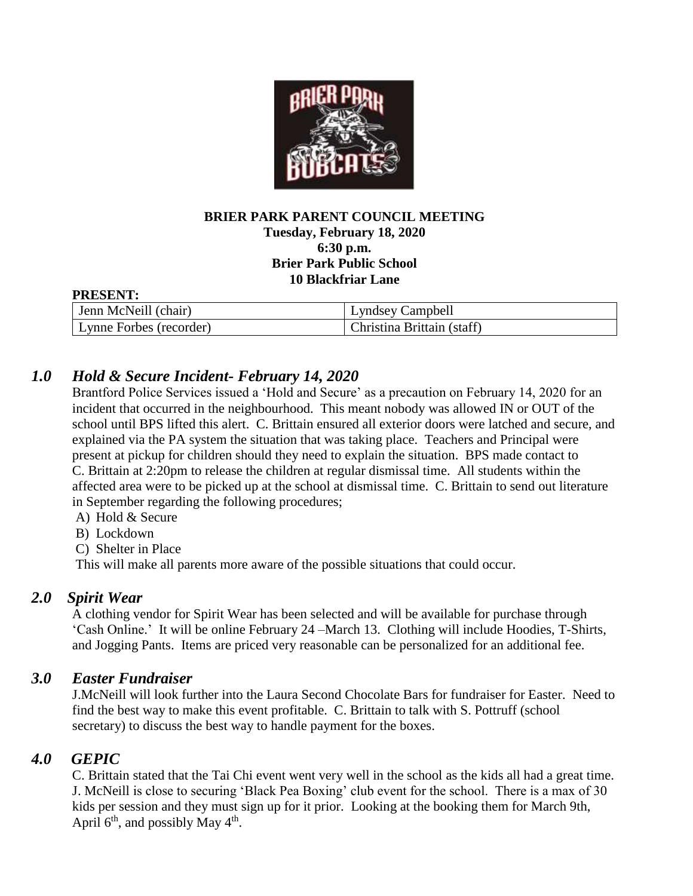

#### **BRIER PARK PARENT COUNCIL MEETING Tuesday, February 18, 2020 6:30 p.m. Brier Park Public School 10 Blackfriar Lane**

#### **PRESENT:**

| Jenn McNeill (chair)    | Lyndsey Campbell           |
|-------------------------|----------------------------|
| Lynne Forbes (recorder) | Christina Brittain (staff) |

# *1.0 Hold & Secure Incident- February 14, 2020*

Brantford Police Services issued a 'Hold and Secure' as a precaution on February 14, 2020 for an incident that occurred in the neighbourhood. This meant nobody was allowed IN or OUT of the school until BPS lifted this alert. C. Brittain ensured all exterior doors were latched and secure, and explained via the PA system the situation that was taking place. Teachers and Principal were present at pickup for children should they need to explain the situation. BPS made contact to C. Brittain at 2:20pm to release the children at regular dismissal time. All students within the affected area were to be picked up at the school at dismissal time. C. Brittain to send out literature in September regarding the following procedures;

- A) Hold & Secure
- B) Lockdown
- C) Shelter in Place

This will make all parents more aware of the possible situations that could occur.

#### *2.0 Spirit Wear*

A clothing vendor for Spirit Wear has been selected and will be available for purchase through 'Cash Online.' It will be online February 24 –March 13. Clothing will include Hoodies, T-Shirts, and Jogging Pants. Items are priced very reasonable can be personalized for an additional fee.

#### *3.0 Easter Fundraiser*

J.McNeill will look further into the Laura Second Chocolate Bars for fundraiser for Easter. Need to find the best way to make this event profitable. C. Brittain to talk with S. Pottruff (school secretary) to discuss the best way to handle payment for the boxes.

# *4.0 GEPIC*

C. Brittain stated that the Tai Chi event went very well in the school as the kids all had a great time. J. McNeill is close to securing 'Black Pea Boxing' club event for the school. There is a max of 30 kids per session and they must sign up for it prior. Looking at the booking them for March 9th, April  $6<sup>th</sup>$ , and possibly May  $4<sup>th</sup>$ .